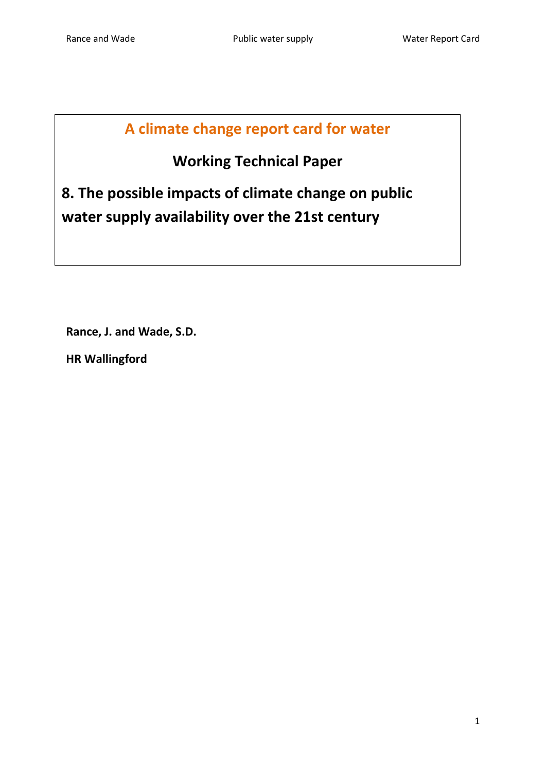# **A climate change report card for water**

# **Working Technical Paper**

**8. The possible impacts of climate change on public water supply availability over the 21st century**

**Rance, J. and Wade, S.D.**

**HR Wallingford**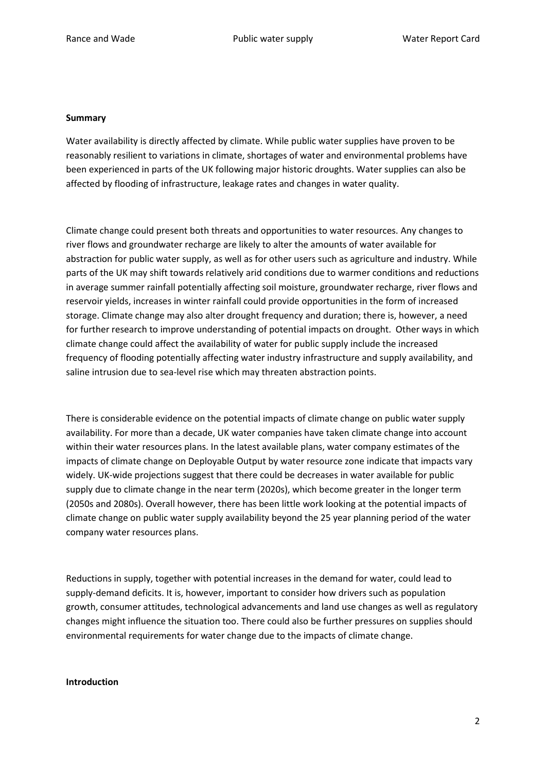#### **Summary**

Water availability is directly affected by climate. While public water supplies have proven to be reasonably resilient to variations in climate, shortages of water and environmental problems have been experienced in parts of the UK following major historic droughts. Water supplies can also be affected by flooding of infrastructure, leakage rates and changes in water quality.

Climate change could present both threats and opportunities to water resources. Any changes to river flows and groundwater recharge are likely to alter the amounts of water available for abstraction for public water supply, as well as for other users such as agriculture and industry. While parts of the UK may shift towards relatively arid conditions due to warmer conditions and reductions in average summer rainfall potentially affecting soil moisture, groundwater recharge, river flows and reservoir yields, increases in winter rainfall could provide opportunities in the form of increased storage. Climate change may also alter drought frequency and duration; there is, however, a need for further research to improve understanding of potential impacts on drought. Other ways in which climate change could affect the availability of water for public supply include the increased frequency of flooding potentially affecting water industry infrastructure and supply availability, and saline intrusion due to sea-level rise which may threaten abstraction points.

There is considerable evidence on the potential impacts of climate change on public water supply availability. For more than a decade, UK water companies have taken climate change into account within their water resources plans. In the latest available plans, water company estimates of the impacts of climate change on Deployable Output by water resource zone indicate that impacts vary widely. UK-wide projections suggest that there could be decreases in water available for public supply due to climate change in the near term (2020s), which become greater in the longer term (2050s and 2080s). Overall however, there has been little work looking at the potential impacts of climate change on public water supply availability beyond the 25 year planning period of the water company water resources plans.

Reductions in supply, together with potential increases in the demand for water, could lead to supply-demand deficits. It is, however, important to consider how drivers such as population growth, consumer attitudes, technological advancements and land use changes as well as regulatory changes might influence the situation too. There could also be further pressures on supplies should environmental requirements for water change due to the impacts of climate change.

## **Introduction**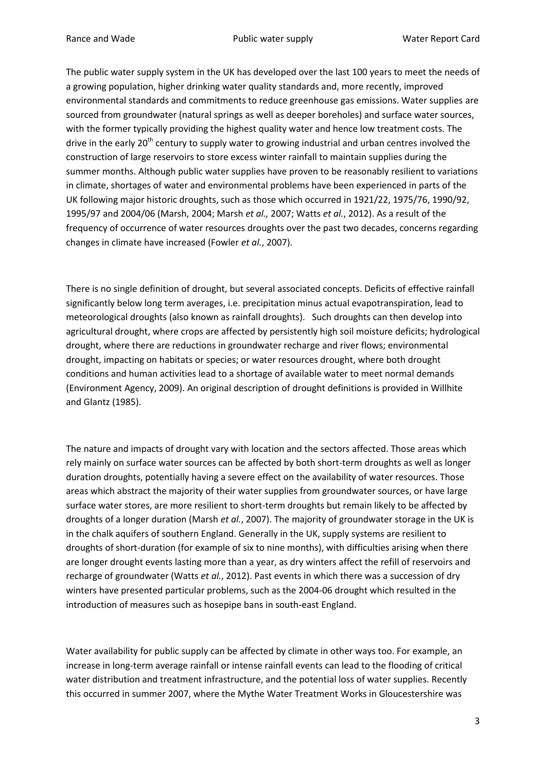The public water supply system in the UK has developed over the last 100 years to meet the needs of a growing population, higher drinking water quality standards and, more recently, improved environmental standards and commitments to reduce greenhouse gas emissions. Water supplies are sourced from groundwater (natural springs as well as deeper boreholes) and surface water sources, with the former typically providing the highest quality water and hence low treatment costs. The drive in the early  $20<sup>th</sup>$  century to supply water to growing industrial and urban centres involved the construction of large reservoirs to store excess winter rainfall to maintain supplies during the summer months. Although public water supplies have proven to be reasonably resilient to variations in climate, shortages of water and environmental problems have been experienced in parts of the UK following major historic droughts, such as those which occurred in 1921/22, 1975/76, 1990/92, 1995/97 and 2004/06 (Marsh, 2004; Marsh *et al.,* 2007; Watts *et al.*, 2012). As a result of the frequency of occurrence of water resources droughts over the past two decades, concerns regarding changes in climate have increased (Fowler *et al.*, 2007).

There is no single definition of drought, but several associated concepts. Deficits of effective rainfall significantly below long term averages, i.e. precipitation minus actual evapotranspiration, lead to meteorological droughts (also known as rainfall droughts). Such droughts can then develop into agricultural drought, where crops are affected by persistently high soil moisture deficits; hydrological drought, where there are reductions in groundwater recharge and river flows; environmental drought, impacting on habitats or species; or water resources drought, where both drought conditions and human activities lead to a shortage of available water to meet normal demands (Environment Agency, 2009). An original description of drought definitions is provided in Willhite and Glantz (1985).

The nature and impacts of drought vary with location and the sectors affected. Those areas which rely mainly on surface water sources can be affected by both short-term droughts as well as longer duration droughts, potentially having a severe effect on the availability of water resources. Those areas which abstract the majority of their water supplies from groundwater sources, or have large surface water stores, are more resilient to short-term droughts but remain likely to be affected by droughts of a longer duration (Marsh *et al.*, 2007). The majority of groundwater storage in the UK is in the chalk aquifers of southern England. Generally in the UK, supply systems are resilient to droughts of short-duration (for example of six to nine months), with difficulties arising when there are longer drought events lasting more than a year, as dry winters affect the refill of reservoirs and recharge of groundwater (Watts *et al.*, 2012). Past events in which there was a succession of dry winters have presented particular problems, such as the 2004-06 drought which resulted in the introduction of measures such as hosepipe bans in south-east England.

Water availability for public supply can be affected by climate in other ways too. For example, an increase in long-term average rainfall or intense rainfall events can lead to the flooding of critical water distribution and treatment infrastructure, and the potential loss of water supplies. Recently this occurred in summer 2007, where the Mythe Water Treatment Works in Gloucestershire was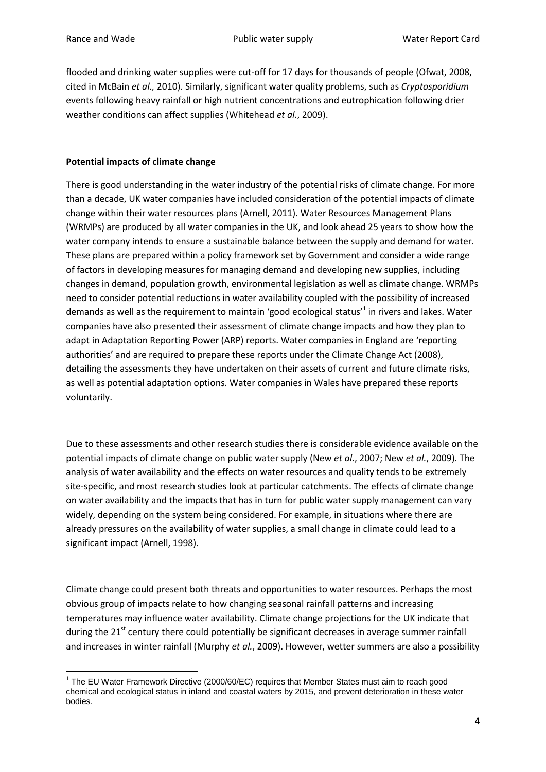flooded and drinking water supplies were cut-off for 17 days for thousands of people (Ofwat, 2008, cited in McBain *et al.,* 2010). Similarly, significant water quality problems, such as *Cryptosporidium* events following heavy rainfall or high nutrient concentrations and eutrophication following drier weather conditions can affect supplies (Whitehead *et al.*, 2009).

# **Potential impacts of climate change**

There is good understanding in the water industry of the potential risks of climate change. For more than a decade, UK water companies have included consideration of the potential impacts of climate change within their water resources plans (Arnell, 2011). Water Resources Management Plans (WRMPs) are produced by all water companies in the UK, and look ahead 25 years to show how the water company intends to ensure a sustainable balance between the supply and demand for water. These plans are prepared within a policy framework set by Government and consider a wide range of factors in developing measures for managing demand and developing new supplies, including changes in demand, population growth, environmental legislation as well as climate change. WRMPs need to consider potential reductions in water availability coupled with the possibility of increased demands as well as the requirement to maintain 'good ecological status'<sup>1</sup> in rivers and lakes. Water companies have also presented their assessment of climate change impacts and how they plan to adapt in Adaptation Reporting Power (ARP) reports. Water companies in England are 'reporting authorities' and are required to prepare these reports under the Climate Change Act (2008), detailing the assessments they have undertaken on their assets of current and future climate risks, as well as potential adaptation options. Water companies in Wales have prepared these reports voluntarily.

Due to these assessments and other research studies there is considerable evidence available on the potential impacts of climate change on public water supply (New *et al.*, 2007; New *et al.*, 2009). The analysis of water availability and the effects on water resources and quality tends to be extremely site-specific, and most research studies look at particular catchments. The effects of climate change on water availability and the impacts that has in turn for public water supply management can vary widely, depending on the system being considered. For example, in situations where there are already pressures on the availability of water supplies, a small change in climate could lead to a significant impact (Arnell, 1998).

Climate change could present both threats and opportunities to water resources. Perhaps the most obvious group of impacts relate to how changing seasonal rainfall patterns and increasing temperatures may influence water availability. Climate change projections for the UK indicate that during the  $21<sup>st</sup>$  century there could potentially be significant decreases in average summer rainfall and increases in winter rainfall (Murphy *et al.*, 2009). However, wetter summers are also a possibility

**<sup>.</sup>**  $1$  The EU Water Framework Directive (2000/60/EC) requires that Member States must aim to reach good chemical and ecological status in inland and coastal waters by 2015, and prevent deterioration in these water bodies.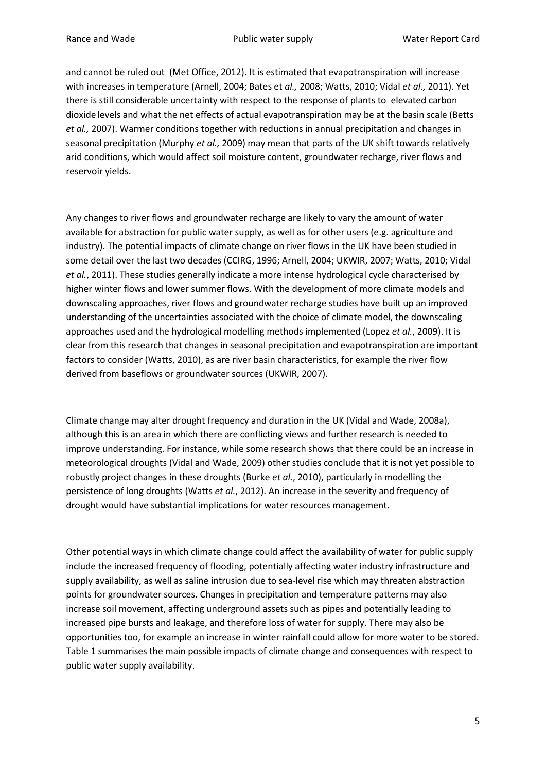and cannot be ruled out (Met Office, 2012). It is estimated that evapotranspiration will increase with increases in temperature (Arnell, 2004; Bates et *al.,* 2008; Watts, 2010; Vidal *et al.,* 2011). Yet there is still considerable uncertainty with respect to the response of plants to elevated carbon dioxide levels and what the net effects of actual evapotranspiration may be at the basin scale (Betts *et al.,* 2007). Warmer conditions together with reductions in annual precipitation and changes in seasonal precipitation (Murphy *et al.,* 2009) may mean that parts of the UK shift towards relatively arid conditions, which would affect soil moisture content, groundwater recharge, river flows and reservoir yields.

Any changes to river flows and groundwater recharge are likely to vary the amount of water available for abstraction for public water supply, as well as for other users (e.g. agriculture and industry). The potential impacts of climate change on river flows in the UK have been studied in some detail over the last two decades (CCIRG, 1996; Arnell, 2004; UKWIR, 2007; Watts, 2010; Vidal *et al.*, 2011). These studies generally indicate a more intense hydrological cycle characterised by higher winter flows and lower summer flows. With the development of more climate models and downscaling approaches, river flows and groundwater recharge studies have built up an improved understanding of the uncertainties associated with the choice of climate model, the downscaling approaches used and the hydrological modelling methods implemented (Lopez *et al.*, 2009). It is clear from this research that changes in seasonal precipitation and evapotranspiration are important factors to consider (Watts, 2010), as are river basin characteristics, for example the river flow derived from baseflows or groundwater sources (UKWIR, 2007).

Climate change may alter drought frequency and duration in the UK (Vidal and Wade, 2008a), although this is an area in which there are conflicting views and further research is needed to improve understanding. For instance, while some research shows that there could be an increase in meteorological droughts (Vidal and Wade, 2009) other studies conclude that it is not yet possible to robustly project changes in these droughts (Burke *et al.*, 2010), particularly in modelling the persistence of long droughts (Watts *et al.*, 2012). An increase in the severity and frequency of drought would have substantial implications for water resources management.

Other potential ways in which climate change could affect the availability of water for public supply include the increased frequency of flooding, potentially affecting water industry infrastructure and supply availability, as well as saline intrusion due to sea-level rise which may threaten abstraction points for groundwater sources. Changes in precipitation and temperature patterns may also increase soil movement, affecting underground assets such as pipes and potentially leading to increased pipe bursts and leakage, and therefore loss of water for supply. There may also be opportunities too, for example an increase in winter rainfall could allow for more water to be stored. Table 1 summarises the main possible impacts of climate change and consequences with respect to public water supply availability.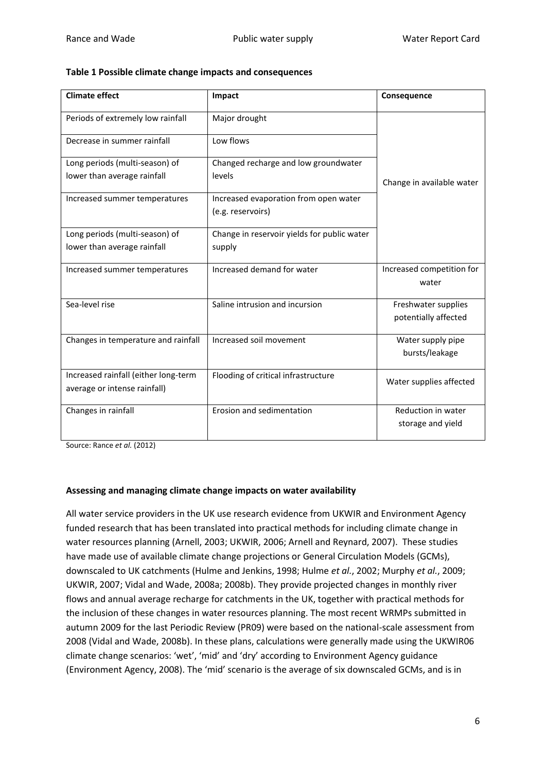| Table 1 Possible climate change impacts and consequences |  |  |
|----------------------------------------------------------|--|--|
|----------------------------------------------------------|--|--|

| <b>Climate effect</b>                                                | Impact                                                     | Consequence                                 |
|----------------------------------------------------------------------|------------------------------------------------------------|---------------------------------------------|
| Periods of extremely low rainfall                                    | Major drought                                              |                                             |
| Decrease in summer rainfall                                          | Low flows                                                  |                                             |
| Long periods (multi-season) of<br>lower than average rainfall        | Changed recharge and low groundwater<br>levels             | Change in available water                   |
| Increased summer temperatures                                        | Increased evaporation from open water<br>(e.g. reservoirs) |                                             |
| Long periods (multi-season) of<br>lower than average rainfall        | Change in reservoir yields for public water<br>supply      |                                             |
| Increased summer temperatures                                        | Increased demand for water                                 | Increased competition for<br>water          |
| Sea-level rise                                                       | Saline intrusion and incursion                             | Freshwater supplies<br>potentially affected |
| Changes in temperature and rainfall                                  | Increased soil movement                                    | Water supply pipe<br>bursts/leakage         |
| Increased rainfall (either long-term<br>average or intense rainfall) | Flooding of critical infrastructure                        | Water supplies affected                     |
| Changes in rainfall                                                  | Erosion and sedimentation                                  | Reduction in water<br>storage and yield     |

Source: Rance *et al.* (2012)

## **Assessing and managing climate change impacts on water availability**

All water service providers in the UK use research evidence from UKWIR and Environment Agency funded research that has been translated into practical methods for including climate change in water resources planning (Arnell, 2003; UKWIR, 2006; Arnell and Reynard, 2007). These studies have made use of available climate change projections or General Circulation Models (GCMs), downscaled to UK catchments (Hulme and Jenkins, 1998; Hulme *et al.*, 2002; Murphy *et al.*, 2009; UKWIR, 2007; Vidal and Wade, 2008a; 2008b). They provide projected changes in monthly river flows and annual average recharge for catchments in the UK, together with practical methods for the inclusion of these changes in water resources planning. The most recent WRMPs submitted in autumn 2009 for the last Periodic Review (PR09) were based on the national-scale assessment from 2008 (Vidal and Wade, 2008b). In these plans, calculations were generally made using the UKWIR06 climate change scenarios: 'wet', 'mid' and 'dry' according to Environment Agency guidance (Environment Agency, 2008). The 'mid' scenario is the average of six downscaled GCMs, and is in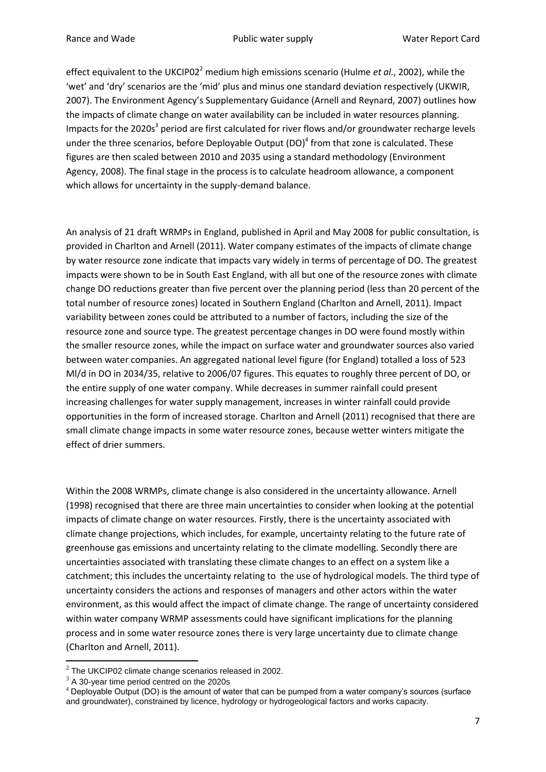effect equivalent to the UKCIP02<sup>2</sup> medium high emissions scenario (Hulme *et al.*, 2002), while the 'wet' and 'dry' scenarios are the 'mid' plus and minus one standard deviation respectively (UKWIR, 2007). The Environment Agency's Supplementary Guidance (Arnell and Reynard, 2007) outlines how the impacts of climate change on water availability can be included in water resources planning. Impacts for the 2020s<sup>3</sup> period are first calculated for river flows and/or groundwater recharge levels under the three scenarios, before Deployable Output (DO)<sup>4</sup> from that zone is calculated. These figures are then scaled between 2010 and 2035 using a standard methodology (Environment Agency, 2008). The final stage in the process is to calculate headroom allowance, a component which allows for uncertainty in the supply-demand balance.

An analysis of 21 draft WRMPs in England, published in April and May 2008 for public consultation, is provided in Charlton and Arnell (2011). Water company estimates of the impacts of climate change by water resource zone indicate that impacts vary widely in terms of percentage of DO. The greatest impacts were shown to be in South East England, with all but one of the resource zones with climate change DO reductions greater than five percent over the planning period (less than 20 percent of the total number of resource zones) located in Southern England (Charlton and Arnell, 2011). Impact variability between zones could be attributed to a number of factors, including the size of the resource zone and source type. The greatest percentage changes in DO were found mostly within the smaller resource zones, while the impact on surface water and groundwater sources also varied between water companies. An aggregated national level figure (for England) totalled a loss of 523 Ml/d in DO in 2034/35, relative to 2006/07 figures. This equates to roughly three percent of DO, or the entire supply of one water company. While decreases in summer rainfall could present increasing challenges for water supply management, increases in winter rainfall could provide opportunities in the form of increased storage. Charlton and Arnell (2011) recognised that there are small climate change impacts in some water resource zones, because wetter winters mitigate the effect of drier summers.

Within the 2008 WRMPs, climate change is also considered in the uncertainty allowance. Arnell (1998) recognised that there are three main uncertainties to consider when looking at the potential impacts of climate change on water resources. Firstly, there is the uncertainty associated with climate change projections, which includes, for example, uncertainty relating to the future rate of greenhouse gas emissions and uncertainty relating to the climate modelling. Secondly there are uncertainties associated with translating these climate changes to an effect on a system like a catchment; this includes the uncertainty relating to the use of hydrological models. The third type of uncertainty considers the actions and responses of managers and other actors within the water environment, as this would affect the impact of climate change. The range of uncertainty considered within water company WRMP assessments could have significant implications for the planning process and in some water resource zones there is very large uncertainty due to climate change (Charlton and Arnell, 2011).

 $\overline{a}$ 

 $2$  The UKCIP02 climate change scenarios released in 2002.

 $3$  A 30-year time period centred on the 2020s

<sup>4</sup> Deployable Output (DO) is the amount of water that can be pumped from a water company's sources (surface and groundwater), constrained by licence, hydrology or hydrogeological factors and works capacity.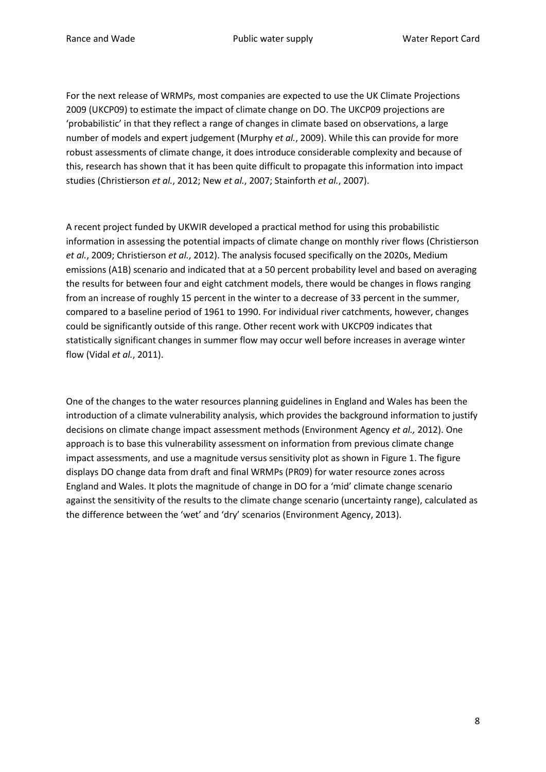For the next release of WRMPs, most companies are expected to use the UK Climate Projections 2009 (UKCP09) to estimate the impact of climate change on DO. The UKCP09 projections are 'probabilistic' in that they reflect a range of changes in climate based on observations, a large number of models and expert judgement (Murphy *et al.*, 2009). While this can provide for more robust assessments of climate change, it does introduce considerable complexity and because of this, research has shown that it has been quite difficult to propagate this information into impact studies (Christierson *et al.*, 2012; New *et al.*, 2007; Stainforth *et al.*, 2007).

A recent project funded by UKWIR developed a practical method for using this probabilistic information in assessing the potential impacts of climate change on monthly river flows (Christierson *et al.*, 2009; Christierson *et al.*, 2012). The analysis focused specifically on the 2020s, Medium emissions (A1B) scenario and indicated that at a 50 percent probability level and based on averaging the results for between four and eight catchment models, there would be changes in flows ranging from an increase of roughly 15 percent in the winter to a decrease of 33 percent in the summer, compared to a baseline period of 1961 to 1990. For individual river catchments, however, changes could be significantly outside of this range. Other recent work with UKCP09 indicates that statistically significant changes in summer flow may occur well before increases in average winter flow (Vidal *et al.*, 2011).

One of the changes to the water resources planning guidelines in England and Wales has been the introduction of a climate vulnerability analysis, which provides the background information to justify decisions on climate change impact assessment methods (Environment Agency *et al.,* 2012). One approach is to base this vulnerability assessment on information from previous climate change impact assessments, and use a magnitude versus sensitivity plot as shown in Figure 1. The figure displays DO change data from draft and final WRMPs (PR09) for water resource zones across England and Wales. It plots the magnitude of change in DO for a 'mid' climate change scenario against the sensitivity of the results to the climate change scenario (uncertainty range), calculated as the difference between the 'wet' and 'dry' scenarios (Environment Agency, 2013).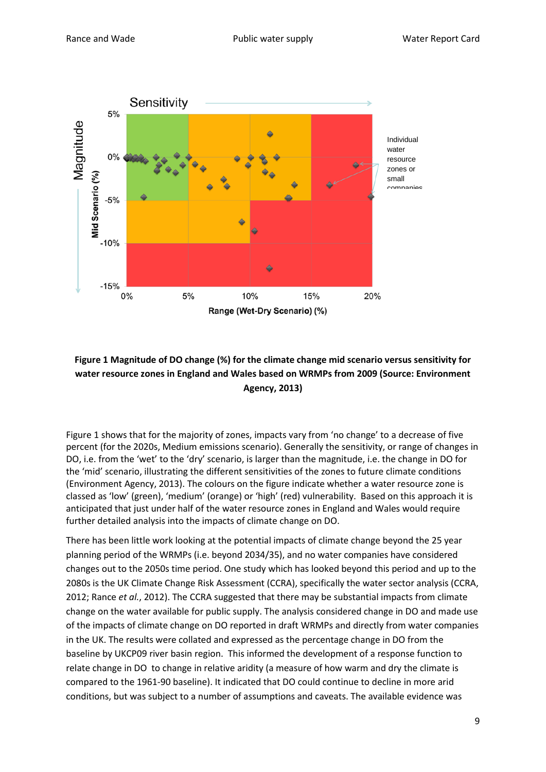

# **Figure 1 Magnitude of DO change (%) for the climate change mid scenario versus sensitivity for water resource zones in England and Wales based on WRMPs from 2009 (Source: Environment Agency, 2013)**

Figure 1 shows that for the majority of zones, impacts vary from 'no change' to a decrease of five percent (for the 2020s, Medium emissions scenario). Generally the sensitivity, or range of changes in DO, i.e. from the 'wet' to the 'dry' scenario, is larger than the magnitude, i.e. the change in DO for the 'mid' scenario, illustrating the different sensitivities of the zones to future climate conditions (Environment Agency, 2013). The colours on the figure indicate whether a water resource zone is classed as 'low' (green), 'medium' (orange) or 'high' (red) vulnerability. Based on this approach it is anticipated that just under half of the water resource zones in England and Wales would require further detailed analysis into the impacts of climate change on DO.

There has been little work looking at the potential impacts of climate change beyond the 25 year planning period of the WRMPs (i.e. beyond 2034/35), and no water companies have considered changes out to the 2050s time period. One study which has looked beyond this period and up to the 2080s is the UK Climate Change Risk Assessment (CCRA), specifically the water sector analysis (CCRA, 2012; Rance *et al.*, 2012). The CCRA suggested that there may be substantial impacts from climate change on the water available for public supply. The analysis considered change in DO and made use of the impacts of climate change on DO reported in draft WRMPs and directly from water companies in the UK. The results were collated and expressed as the percentage change in DO from the baseline by UKCP09 river basin region. This informed the development of a response function to relate change in DO to change in relative aridity (a measure of how warm and dry the climate is compared to the 1961-90 baseline). It indicated that DO could continue to decline in more arid conditions, but was subject to a number of assumptions and caveats. The available evidence was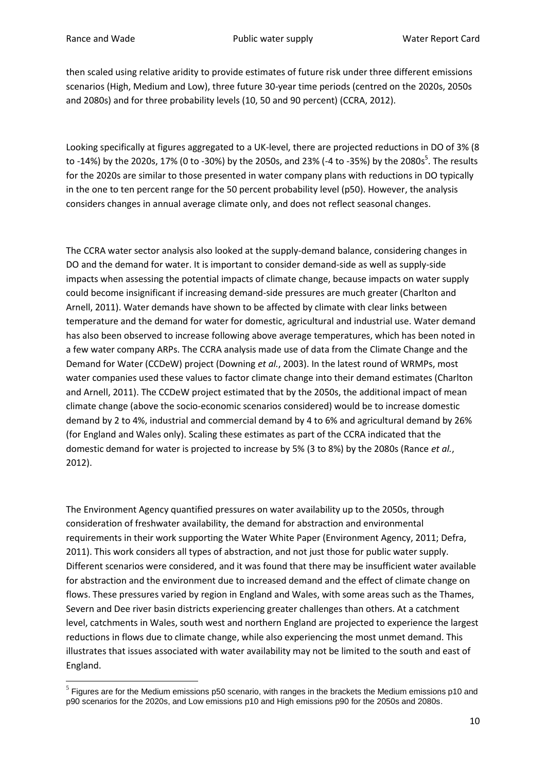**.** 

then scaled using relative aridity to provide estimates of future risk under three different emissions scenarios (High, Medium and Low), three future 30-year time periods (centred on the 2020s, 2050s and 2080s) and for three probability levels (10, 50 and 90 percent) (CCRA, 2012).

Looking specifically at figures aggregated to a UK-level, there are projected reductions in DO of 3% (8 to -14%) by the 2020s, 17% (0 to -30%) by the 2050s, and 23% (-4 to -35%) by the 2080s<sup>5</sup>. The results for the 2020s are similar to those presented in water company plans with reductions in DO typically in the one to ten percent range for the 50 percent probability level (p50). However, the analysis considers changes in annual average climate only, and does not reflect seasonal changes.

The CCRA water sector analysis also looked at the supply-demand balance, considering changes in DO and the demand for water. It is important to consider demand-side as well as supply-side impacts when assessing the potential impacts of climate change, because impacts on water supply could become insignificant if increasing demand-side pressures are much greater (Charlton and Arnell, 2011). Water demands have shown to be affected by climate with clear links between temperature and the demand for water for domestic, agricultural and industrial use. Water demand has also been observed to increase following above average temperatures, which has been noted in a few water company ARPs. The CCRA analysis made use of data from the Climate Change and the Demand for Water (CCDeW) project (Downing *et al.*, 2003). In the latest round of WRMPs, most water companies used these values to factor climate change into their demand estimates (Charlton and Arnell, 2011). The CCDeW project estimated that by the 2050s, the additional impact of mean climate change (above the socio-economic scenarios considered) would be to increase domestic demand by 2 to 4%, industrial and commercial demand by 4 to 6% and agricultural demand by 26% (for England and Wales only). Scaling these estimates as part of the CCRA indicated that the domestic demand for water is projected to increase by 5% (3 to 8%) by the 2080s (Rance *et al.*, 2012).

The Environment Agency quantified pressures on water availability up to the 2050s, through consideration of freshwater availability, the demand for abstraction and environmental requirements in their work supporting the Water White Paper (Environment Agency, 2011; Defra, 2011). This work considers all types of abstraction, and not just those for public water supply. Different scenarios were considered, and it was found that there may be insufficient water available for abstraction and the environment due to increased demand and the effect of climate change on flows. These pressures varied by region in England and Wales, with some areas such as the Thames, Severn and Dee river basin districts experiencing greater challenges than others. At a catchment level, catchments in Wales, south west and northern England are projected to experience the largest reductions in flows due to climate change, while also experiencing the most unmet demand. This illustrates that issues associated with water availability may not be limited to the south and east of England.

 $<sup>5</sup>$  Figures are for the Medium emissions p50 scenario, with ranges in the brackets the Medium emissions p10 and</sup> p90 scenarios for the 2020s, and Low emissions p10 and High emissions p90 for the 2050s and 2080s.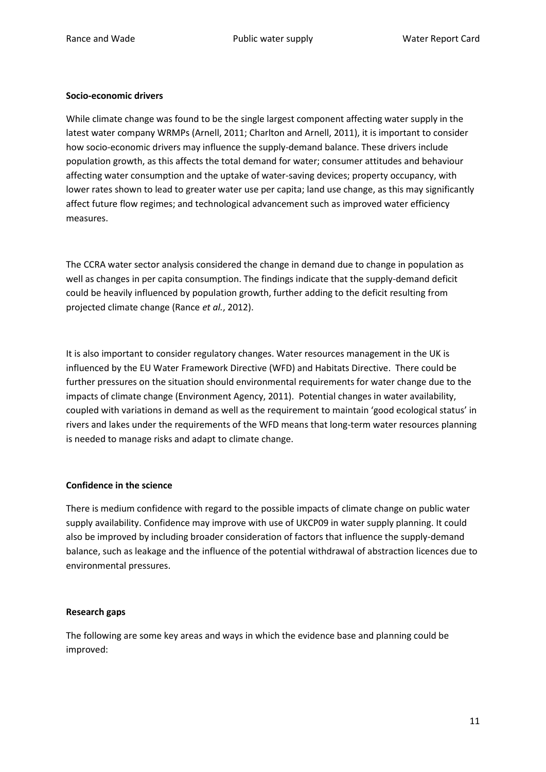# **Socio-economic drivers**

While climate change was found to be the single largest component affecting water supply in the latest water company WRMPs (Arnell, 2011; Charlton and Arnell, 2011), it is important to consider how socio-economic drivers may influence the supply-demand balance. These drivers include population growth, as this affects the total demand for water; consumer attitudes and behaviour affecting water consumption and the uptake of water-saving devices; property occupancy, with lower rates shown to lead to greater water use per capita; land use change, as this may significantly affect future flow regimes; and technological advancement such as improved water efficiency measures.

The CCRA water sector analysis considered the change in demand due to change in population as well as changes in per capita consumption. The findings indicate that the supply-demand deficit could be heavily influenced by population growth, further adding to the deficit resulting from projected climate change (Rance *et al.*, 2012).

It is also important to consider regulatory changes. Water resources management in the UK is influenced by the EU Water Framework Directive (WFD) and Habitats Directive. There could be further pressures on the situation should environmental requirements for water change due to the impacts of climate change (Environment Agency, 2011). Potential changes in water availability, coupled with variations in demand as well as the requirement to maintain 'good ecological status' in rivers and lakes under the requirements of the WFD means that long-term water resources planning is needed to manage risks and adapt to climate change.

## **Confidence in the science**

There is medium confidence with regard to the possible impacts of climate change on public water supply availability. Confidence may improve with use of UKCP09 in water supply planning. It could also be improved by including broader consideration of factors that influence the supply-demand balance, such as leakage and the influence of the potential withdrawal of abstraction licences due to environmental pressures.

## **Research gaps**

The following are some key areas and ways in which the evidence base and planning could be improved: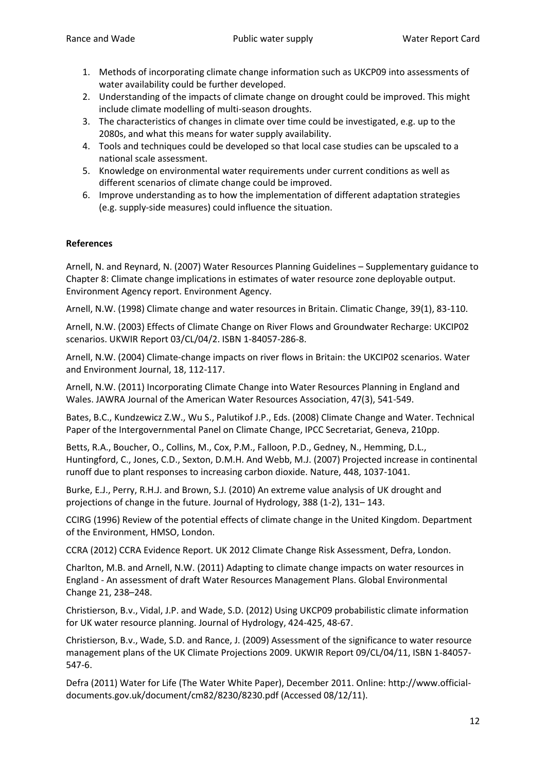- 1. Methods of incorporating climate change information such as UKCP09 into assessments of water availability could be further developed.
- 2. Understanding of the impacts of climate change on drought could be improved. This might include climate modelling of multi-season droughts.
- 3. The characteristics of changes in climate over time could be investigated, e.g. up to the 2080s, and what this means for water supply availability.
- 4. Tools and techniques could be developed so that local case studies can be upscaled to a national scale assessment.
- 5. Knowledge on environmental water requirements under current conditions as well as different scenarios of climate change could be improved.
- 6. Improve understanding as to how the implementation of different adaptation strategies (e.g. supply-side measures) could influence the situation.

# **References**

Arnell, N. and Reynard, N. (2007) Water Resources Planning Guidelines – Supplementary guidance to Chapter 8: Climate change implications in estimates of water resource zone deployable output. Environment Agency report. Environment Agency.

Arnell, N.W. (1998) Climate change and water resources in Britain. Climatic Change, 39(1), 83-110.

Arnell, N.W. (2003) Effects of Climate Change on River Flows and Groundwater Recharge: UKCIP02 scenarios. UKWIR Report 03/CL/04/2. ISBN 1-84057-286-8.

Arnell, N.W. (2004) Climate-change impacts on river flows in Britain: the UKCIP02 scenarios. Water and Environment Journal, 18, 112-117.

Arnell, N.W. (2011) Incorporating Climate Change into Water Resources Planning in England and Wales. JAWRA Journal of the American Water Resources Association, 47(3), 541-549.

Bates, B.C., Kundzewicz Z.W., Wu S., Palutikof J.P., Eds. (2008) Climate Change and Water. Technical Paper of the Intergovernmental Panel on Climate Change, IPCC Secretariat, Geneva, 210pp.

Betts, R.A., Boucher, O., Collins, M., Cox, P.M., Falloon, P.D., Gedney, N., Hemming, D.L., Huntingford, C., Jones, C.D., Sexton, D.M.H. And Webb, M.J. (2007) Projected increase in continental runoff due to plant responses to increasing carbon dioxide. Nature, 448, 1037-1041.

Burke, E.J., Perry, R.H.J. and Brown, S.J. (2010) An extreme value analysis of UK drought and projections of change in the future. Journal of Hydrology, 388 (1-2), 131– 143.

CCIRG (1996) Review of the potential effects of climate change in the United Kingdom. Department of the Environment, HMSO, London.

CCRA (2012) CCRA Evidence Report. UK 2012 Climate Change Risk Assessment, Defra, London.

Charlton, M.B. and Arnell, N.W. (2011) Adapting to climate change impacts on water resources in England - An assessment of draft Water Resources Management Plans. Global Environmental Change 21, 238–248.

Christierson, B.v., Vidal, J.P. and Wade, S.D. (2012) Using UKCP09 probabilistic climate information for UK water resource planning. Journal of Hydrology, 424-425, 48-67.

Christierson, B.v., Wade, S.D. and Rance, J. (2009) Assessment of the significance to water resource management plans of the UK Climate Projections 2009. UKWIR Report 09/CL/04/11, ISBN 1-84057- 547-6.

Defra (2011) Water for Life (The Water White Paper), December 2011. Online: http://www.officialdocuments.gov.uk/document/cm82/8230/8230.pdf (Accessed 08/12/11).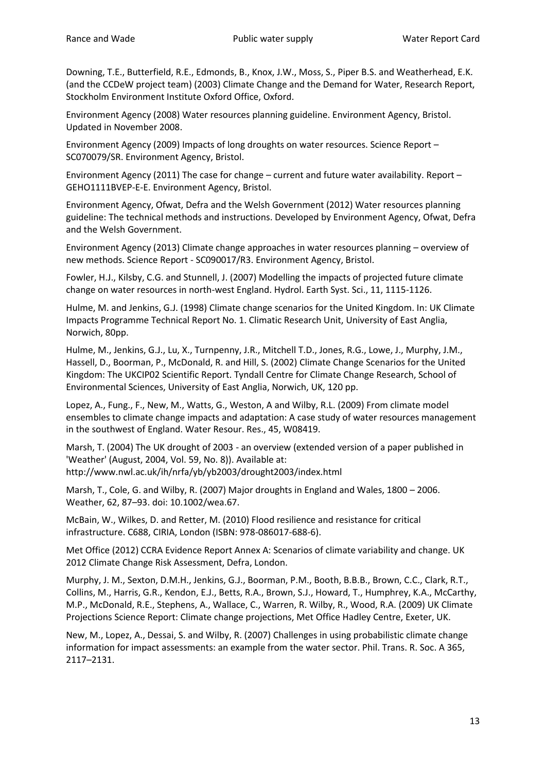Downing, T.E., Butterfield, R.E., Edmonds, B., Knox, J.W., Moss, S., Piper B.S. and Weatherhead, E.K. (and the CCDeW project team) (2003) Climate Change and the Demand for Water, Research Report, Stockholm Environment Institute Oxford Office, Oxford.

Environment Agency (2008) Water resources planning guideline. Environment Agency, Bristol. Updated in November 2008.

Environment Agency (2009) Impacts of long droughts on water resources. Science Report – SC070079/SR. Environment Agency, Bristol.

Environment Agency (2011) The case for change – current and future water availability. Report – GEHO1111BVEP-E-E. Environment Agency, Bristol.

Environment Agency, Ofwat, Defra and the Welsh Government (2012) Water resources planning guideline: The technical methods and instructions. Developed by Environment Agency, Ofwat, Defra and the Welsh Government.

Environment Agency (2013) Climate change approaches in water resources planning – overview of new methods. Science Report - SC090017/R3. Environment Agency, Bristol.

Fowler, H.J., Kilsby, C.G. and Stunnell, J. (2007) Modelling the impacts of projected future climate change on water resources in north-west England. Hydrol. Earth Syst. Sci., 11, 1115-1126.

Hulme, M. and Jenkins, G.J. (1998) Climate change scenarios for the United Kingdom. In: UK Climate Impacts Programme Technical Report No. 1. Climatic Research Unit, University of East Anglia, Norwich, 80pp.

Hulme, M., Jenkins, G.J., Lu, X., Turnpenny, J.R., Mitchell T.D., Jones, R.G., Lowe, J., Murphy, J.M., Hassell, D., Boorman, P., McDonald, R. and Hill, S. (2002) Climate Change Scenarios for the United Kingdom: The UKCIP02 Scientific Report. Tyndall Centre for Climate Change Research, School of Environmental Sciences, University of East Anglia, Norwich, UK, 120 pp.

Lopez, A., Fung., F., New, M., Watts, G., Weston, A and Wilby, R.L. (2009) From climate model ensembles to climate change impacts and adaptation: A case study of water resources management in the southwest of England. Water Resour. Res., 45, W08419.

Marsh, T. (2004) The UK drought of 2003 - an overview (extended version of a paper published in 'Weather' (August, 2004, Vol. 59, No. 8)). Available at: http://www.nwl.ac.uk/ih/nrfa/yb/yb2003/drought2003/index.html

Marsh, T., Cole, G. and Wilby, R. (2007) Major droughts in England and Wales, 1800 – 2006. Weather, 62, 87–93. doi: 10.1002/wea.67.

McBain, W., Wilkes, D. and Retter, M. (2010) Flood resilience and resistance for critical infrastructure. C688, CIRIA, London (ISBN: 978-086017-688-6).

Met Office (2012) CCRA Evidence Report Annex A: Scenarios of climate variability and change. UK 2012 Climate Change Risk Assessment, Defra, London.

Murphy, J. M., Sexton, D.M.H., Jenkins, G.J., Boorman, P.M., Booth, B.B.B., Brown, C.C., Clark, R.T., Collins, M., Harris, G.R., Kendon, E.J., Betts, R.A., Brown, S.J., Howard, T., Humphrey, K.A., McCarthy, M.P., McDonald, R.E., Stephens, A., Wallace, C., Warren, R. Wilby, R., Wood, R.A. (2009) UK Climate Projections Science Report: Climate change projections, Met Office Hadley Centre, Exeter, UK.

New, M., Lopez, A., Dessai, S. and Wilby, R. (2007) Challenges in using probabilistic climate change information for impact assessments: an example from the water sector. Phil. Trans. R. Soc. A 365, 2117–2131.